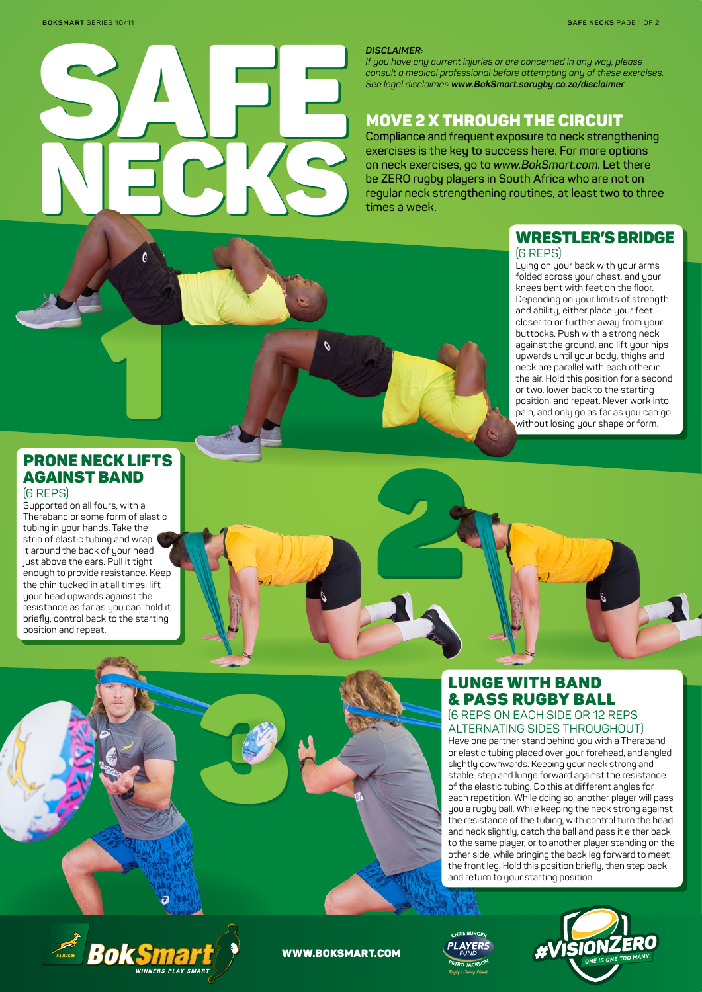

#### *DISCLAIMER:*

2

*If you have any current injuries or are concerned in any way, please consult a medical professional before attempting any of these exercises. See legal disclaimer: www.BokSmart.sarugby.co.za/disclaimer* 

# MOVE 2 X THROUGH THE CIRCUIT

**Compliance and frequent exposure to neck strengthening exercises is the key to success here. For more options on neck exercises, go to** *www.BokSmart.com***. Let there be ZERO rugby players in South Africa who are not on regular neck strengthening routines, at least two to three times a week.**

### WRESTLER'S BRIDGE (6 REPS)

Lying on your back with your arms folded across your chest, and your knees bent with feet on the floor. Depending on your limits of strength and ability, either place your feet closer to or further away from your buttocks. Push with a strong neck against the ground, and lift your hips upwards until your body, thighs and neck are parallel with each other in the air. Hold this position for a second or two, lower back to the starting position, and repeat. Never work into pain, and only go as far as you can go without losing your shape or form.

# PRONE NECK LIFTS AGAINST BAND

1

### (6 REPS)

Supported on all fours, with a Theraband or some form of elastic tubing in your hands. Take the strip of elastic tubing and wrap it around the back of your head just above the ears. Pull it tight enough to provide resistance. Keep the chin tucked in at all times, lift your head upwards against the resistance as far as you can, hold it briefly, control back to the starting position and repeat.



ALTERNATING SIDES THROUGHOUT)

Have one partner stand behind you with a Theraband or elastic tubing placed over your forehead, and angled slightly downwards. Keeping your neck strong and stable, step and lunge forward against the resistance of the elastic tubing. Do this at different angles for each repetition. While doing so, another player will pass you a rugby ball. While keeping the neck strong against the resistance of the tubing, with control turn the head and neck slightly, catch the ball and pass it either back to the same player, or to another player standing on the other side, while bringing the back leg forward to meet the front leg. Hold this position briefly, then step back and return to your starting position.



#### WWW.BOKSMART.COM

3